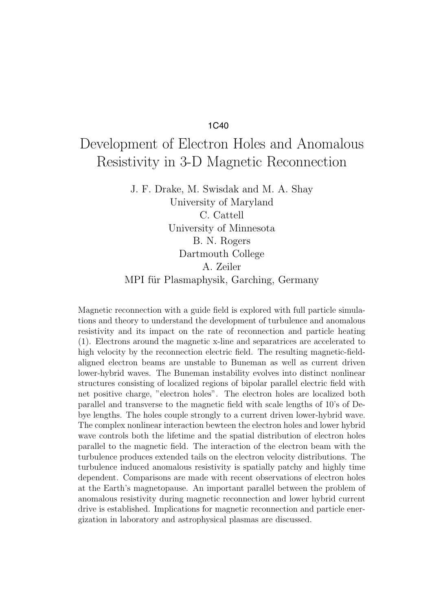## 1C40

## Development of Electron Holes and Anomalous Resistivity in 3-D Magnetic Reconnection

J. F. Drake, M. Swisdak and M. A. Shay University of Maryland C. Cattell University of Minnesota B. N. Rogers Dartmouth College A. Zeiler MPI für Plasmaphysik, Garching, Germany

Magnetic reconnection with a guide field is explored with full particle simulations and theory to understand the development of turbulence and anomalous resistivity and its impact on the rate of reconnection and particle heating (1). Electrons around the magnetic x-line and separatrices are accelerated to high velocity by the reconnection electric field. The resulting magnetic-fieldaligned electron beams are unstable to Buneman as well as current driven lower-hybrid waves. The Buneman instability evolves into distinct nonlinear structures consisting of localized regions of bipolar parallel electric field with net positive charge, "electron holes". The electron holes are localized both parallel and transverse to the magnetic field with scale lengths of 10's of Debye lengths. The holes couple strongly to a current driven lower-hybrid wave. The complex nonlinear interaction bewteen the electron holes and lower hybrid wave controls both the lifetime and the spatial distribution of electron holes parallel to the magnetic field. The interaction of the electron beam with the turbulence produces extended tails on the electron velocity distributions. The turbulence induced anomalous resistivity is spatially patchy and highly time dependent. Comparisons are made with recent observations of electron holes at the Earth's magnetopause. An important parallel between the problem of anomalous resistivity during magnetic reconnection and lower hybrid current drive is established. Implications for magnetic reconnection and particle energization in laboratory and astrophysical plasmas are discussed.